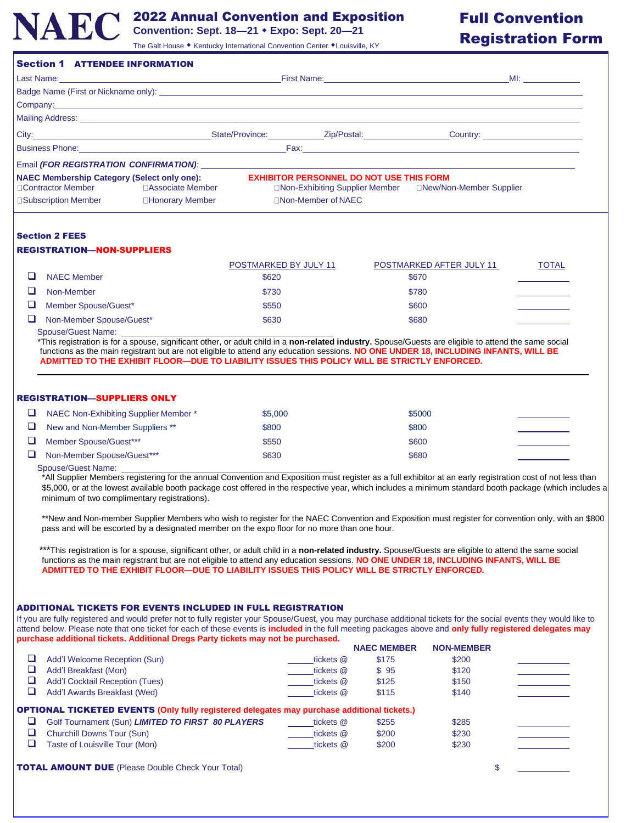

# 2022 Annual Convention and Exposition

**Convention: Sept. 18—21 Expo: Sept. 20—21**

#### The Galt House • Kentucky International Convention Center • Louisville, KY

# Full Convention Registration Form

|                                                                                              |  | First Name: <u>Containing the Community of Tennes and Community of Tennes and Community of Tennes and Community of Tennes and Community of Tennes and Community of Tennes and Community of Tennes and Community of Tennes and Co</u> | <b>MI:</b> _________                                                                                                                                                                                                           |  |
|----------------------------------------------------------------------------------------------|--|--------------------------------------------------------------------------------------------------------------------------------------------------------------------------------------------------------------------------------------|--------------------------------------------------------------------------------------------------------------------------------------------------------------------------------------------------------------------------------|--|
|                                                                                              |  |                                                                                                                                                                                                                                      |                                                                                                                                                                                                                                |  |
|                                                                                              |  |                                                                                                                                                                                                                                      | Company: example, the company of the company of the company of the company of the company of the company of the company of the company of the company of the company of the company of the company of the company of the compa |  |
|                                                                                              |  |                                                                                                                                                                                                                                      |                                                                                                                                                                                                                                |  |
|                                                                                              |  |                                                                                                                                                                                                                                      | City: Current Country: Country: City: City: City: Country: Country: Country: Country: Country: Country: Country: Country: Country: Country: Country: Country: Country: Country: Country: Country: Country: Country: Country: C |  |
|                                                                                              |  |                                                                                                                                                                                                                                      |                                                                                                                                                                                                                                |  |
|                                                                                              |  |                                                                                                                                                                                                                                      |                                                                                                                                                                                                                                |  |
| <b>NAEC Membership Category (Select only one):</b><br>□ Contractor Member □ Associate Member |  | <b>EXHIBITOR PERSONNEL DO NOT USE THIS FORM</b>                                                                                                                                                                                      |                                                                                                                                                                                                                                |  |
| □Subscription Member □Honorary Member                                                        |  | □Non-Member of NAEC                                                                                                                                                                                                                  |                                                                                                                                                                                                                                |  |

## Section 2 FEES

### REGISTRATION—NON-SUPPLIERS

|        |                          | POSTMARKED BY JULY 11 | POSTMARKED AFTER JULY 11 | <b>TOTAL</b> |
|--------|--------------------------|-----------------------|--------------------------|--------------|
|        | <b>NAEC Member</b>       | \$620                 | \$670                    |              |
|        | Non-Member               | \$730                 | \$780                    |              |
| $\Box$ | Member Spouse/Guest*     | \$550                 | \$600                    |              |
|        | Non-Member Spouse/Guest* | \$630                 | \$680                    |              |

Spouse/Guest Name:

\*This registration is for a spouse, significant other, or adult child in a **non-related industry.** Spouse/Guests are eligible to attend the same social functions as the main registrant but are not eligible to attend any education sessions. **NO ONE UNDER 18, INCLUDING INFANTS, WILL BE ADMITTED TO THE EXHIBIT FLOOR—DUE TO LIABILITY ISSUES THIS POLICY WILL BE STRICTLY ENFORCED.**

#### REGISTRATION—SUPPLIERS ONLY

| NAEC Non-Exhibiting Supplier Member * | \$5,000 | \$5000 |  |
|---------------------------------------|---------|--------|--|
| New and Non-Member Suppliers **       | \$800   | \$800  |  |
| Member Spouse/Guest***                | \$550   | \$600  |  |
| Non-Member Spouse/Guest***            | \$630   | \$680  |  |
|                                       |         |        |  |

#### Spouse/Guest Name:

\*All Supplier Members registering for the annual Convention and Exposition must register as a full exhibitor at an early registration cost of not less than \$5,000, or at the lowest available booth package cost offered in the respective year, which includes a minimum standard booth package (which includes a minimum of two complimentary registrations).

\*\*New and Non-member Supplier Members who wish to register for the NAEC Convention and Exposition must register for convention only, with an \$800 pass and will be escorted by a designated member on the expo floor for no more than one hour.

\*\*\*This registration is for a spouse, significant other, or adult child in a non-related industry. Spouse/Guests are eligible to attend the same social functions as the main registrant but are not eligible to attend any education sessions. **NO ONE UNDER 18, INCLUDING INFANTS, WILL BE ADMITTED TO THE EXHIBIT FLOOR—DUE TO LIABILITY ISSUES THIS POLICY WILL BE STRICTLY ENFORCED.**

#### ADDITIONAL TICKETS FOR EVENTS INCLUDED IN FULL REGISTRATION

If you are fully registered and would prefer not to fully register your Spouse/Guest, you may purchase additional tickets for the social events they would like to attend below. Please note that one ticket for each of these events is **included** in the full meeting packages above and **only fully registered delegates may purchase additional tickets. Additional Dregs Party tickets may not be purchased.**

|                                                                                                    |           | <b>NAEC MEMBER</b> | <b>NON-MEMBER</b> |  |
|----------------------------------------------------------------------------------------------------|-----------|--------------------|-------------------|--|
| Add'l Welcome Reception (Sun)                                                                      | tickets @ | \$175              | \$200             |  |
| Add'l Breakfast (Mon)                                                                              | tickets @ | \$95               | \$120             |  |
| <b>Add'I Cocktail Reception (Tues)</b>                                                             | tickets @ | \$125              | \$150             |  |
| Add'l Awards Breakfast (Wed)                                                                       | tickets @ | \$115              | \$140             |  |
| <b>OPTIONAL TICKETED EVENTS (Only fully registered delegates may purchase additional tickets.)</b> |           |                    |                   |  |
| Golf Tournament (Sun) LIMITED TO FIRST 80 PLAYERS                                                  | tickets @ | \$255              | \$285             |  |
|                                                                                                    |           |                    |                   |  |
| Churchill Downs Tour (Sun)                                                                         | tickets @ | \$200              | \$230             |  |
| Taste of Louisville Tour (Mon)                                                                     | tickets @ | \$200              | \$230             |  |

**TOTAL AMOUNT DUE** (Please Double Check Your Total) **\$** \$